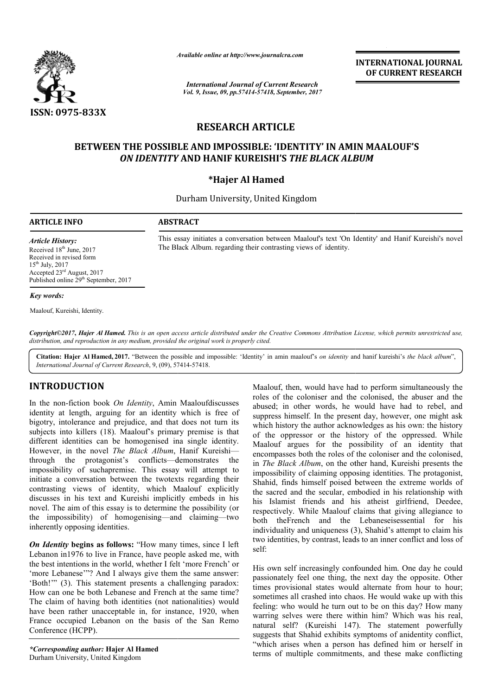

*Available online at http://www.journal http://www.journalcra.com*

*International Journal of Current Research Vol. 9, Issue, 09, pp.57414-57418, September, 2017* **INTERNATIONAL JOURNAL OF CURRENT RESEARCH** 

# **RESEARCH ARTICLE**

## **BETWEEN THE POSSIBLE AND IMPOSSIBLE: 'IDENTITY' IN AMIN MAALOUF'S 'IDENTITY' IN** *ON IDENTITY*  **AND HANIF KUREISHI'S** *THE BLACK ALBUM*

### **\*Hajer Al Hamed**

Durham University, United Kingdom

### **ARTICLE INFO ABSTRACT**

This essay initiates a conversation between Maalouf's text 'On Identity' and Hanif Kureishi's novel The Black Album. regarding their contrasting views of identity.

*Article History:* Received 18<sup>th</sup> June, 2017 Received in revised form 15th July, 2017 Accepted 23rd August, 2017 Published online 29<sup>th</sup> September, 2017

#### *Key words:*

Maalouf, Kureishi, Identity.

Copyright©2017, Hajer Al Hamed. This is an open access article distributed under the Creative Commons Attribution License, which permits unrestricted use, *distribution, and reproduction in any medium, provided the original work is properly cited.*

Citation: Hajer Al Hamed, 2017. "Between the possible and impossible: 'Identity' in amin maalouf's *on identity* and hanif kureishi's *the black album*", *International Journal of Current Research*, 9, (09), 57414 57414-57418.

### **INTRODUCTION**

In the non-fiction book On Identity, Amin Maaloufdiscusses identity at length, arguing for an identity which is free of bigotry, intolerance and prejudice, and that does not turn its subjects into killers (18). Maalouf's primary premise is that different identities can be homogenised ina single identity. However, in the novel *The Black Album*, Hanif Kureishi Kureishi through the protagonist's conflicts—demonstrates the impossibility of suchapremise. This essay will attempt to initiate a conversation between the twotexts regarding their contrasting views of identity, which Maalouf explicitly discusses in his text and Kureishi implicitly embeds in his novel. The aim of this essay is to determine the possibility (or the impossibility) of homogenising—and claiming—two inherently opposing identities. the protagonist's conflicts—demonstrates<br>ty of suchapremise. This essay will attem<br>conversation between the twotexts regarding<br>views of identity, which Maalouf exp<br>n his text and Kureishi implicitly embeds i

*On Identity* begins as follows: "How many times, since I left Lebanon in1976 to live in France, have people asked me, with the best intentions in the world, whether I felt 'more French' or 'more Lebanese'"? And I always give them the same answer: 'Both!'" (3). This statement presents a challenging paradox: How can one be both Lebanese and French at the same time? The claim of having both identities (not nationalities) would have been rather unacceptable in, for instance, 1920, when France occupied Lebanon on the basis of the San Remo Conference (HCPP).

**Malously then**, Maalouff; then, would have had to perform simultaneously the<br>non-fiction book *On Identity*, Amin Maaloufdiscusses<br>to less of the coloniser and the colonised, the abuser and the<br>at length, arguing for an roles of the coloniser and the colonised, the abuser and the abused; in other words, he would have had to rebel, and suppress himself. In the present day, however, one might ask which history the author acknowledges as his own: the history Maalouf, then, would have had to perform simultaneously the roles of the coloniser and the colonised, the abuser and the abused; in other words, he would have had to rebel, and suppress himself. In the present day, however Maalouf argues for the possibility of an identity that Maalouf argues for the possibility of an identity that encompasses both the roles of the coloniser and the colonised, in *The Black Album*, on the other hand, Kureishi presents the impossibility of claiming opposing identities. The protagonist, Shahid, finds himself poised between the extreme worlds of impossibility of claiming opposing identities. The protagonist, Shahid, finds himself poised between the extreme worlds of the sacred and the secular, embodied in his relationship with his Islamist friends and his atheist girlfriend, Deedee, respectively. While Maalouf claims that giving allegiance to respectively. While Maalouf claims that giving allegiance to both theFrench and the Lebaneseisessential for his individuality and uniqueness (3), Shahid's attempt to claim his two identities, by contrast, leads to an inner conflict and loss of self: **INTERNATIONAL JOURNAL**<br>
INTERNATIONAL JOURNAL<br>
or CURRENT RESEARCH<br>
person controlled to the commit of the commitments, and<br>  $\frac{1}{2}$  CLE<br>
CLE<br>
CLE<br>
CS THE BLACK ALBUM<br>
d<br>
d<br>
Kingdom<br>
een Maalour's text 'On Identity' an

His own self increasingly confounded him. One day he could passionately feel one thing, the next day the opposite. Other times provisional states would alternate from hour to hour; sometimes all crashed into chaos. He would wake up with this feeling: who would he turn out to be on this day? How many warring selves were there within him? Which was his real, natural self? (Kureishi 147). The statement powerfully suggests that Shahid exhibits symptoms of anidentity conflict, "which arises when a person has defined him or herself in terms of multiple commitments, and these make conflicting two identities, by contrast, leads to an inner conflict and loss of self:<br>His own self increasingly confounded him. One day he could<br>passionately feel one thing, the next day the opposite. Other<br>times provisional states wo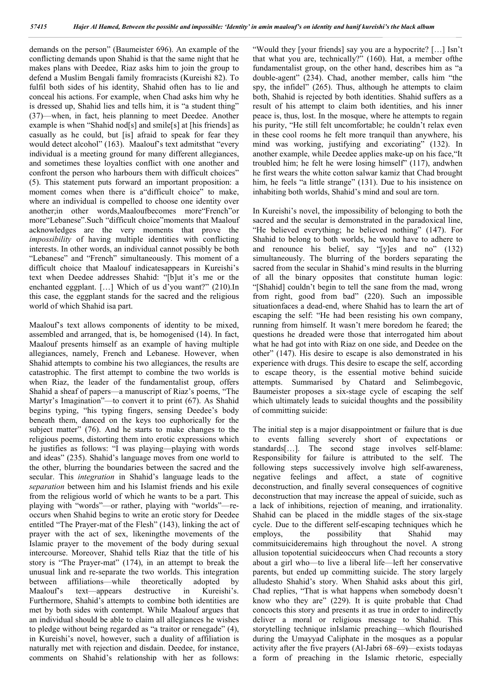demands on the person" (Baumeister 696). An example of the conflicting demands upon Shahid is that the same night that he makes plans with Deedee, Riaz asks him to join the group to defend a Muslim Bengali family fromracists (Kureishi 82). To fulfil both sides of his identity, Shahid often has to lie and conceal his actions. For example, when Chad asks him why he is dressed up, Shahid lies and tells him, it is "a student thing" (37)—when, in fact, heis planning to meet Deedee. Another example is when "Shahid nod[s] and smile[s] at [his friends] as casually as he could, but [is] afraid to speak for fear they would detect alcohol" (163). Maalouf's text admitsthat "every individual is a meeting ground for many different allegiances, and sometimes these loyalties conflict with one another and confront the person who harbours them with difficult choices" (5). This statement puts forward an important proposition: a moment comes when there is a difficult choice" to make, where an individual is compelled to choose one identity over another;in other words,Maaloufbecomes more"French"or more"Lebanese".Such "difficult choice"moments that Maalouf acknowledges are the very moments that prove the *impossibility* of having multiple identities with conflicting interests. In other words, an individual cannot possibly be both "Lebanese" and "French" simultaneously. This moment of a difficult choice that Maalouf indicatesappears in Kureishi's text when Deedee addresses Shahid: "[b]ut it's me or the enchanted eggplant. […] Which of us d'you want?" (210).In this case, the eggplant stands for the sacred and the religious world of which Shahid isa part.

Maalouf's text allows components of identity to be mixed, assembled and arranged, that is, be homogenised (14). In fact, Maalouf presents himself as an example of having multiple allegiances, namely, French and Lebanese. However, when Shahid attempts to combine his two allegiances, the results are catastrophic. The first attempt to combine the two worlds is when Riaz, the leader of the fundamentalist group, offers Shahid a sheaf of papers—a manuscript of Riaz's poems, "The Martyr's Imagination"—to convert it to print (67). As Shahid begins typing, "his typing fingers, sensing Deedee's body beneath them, danced on the keys too euphorically for the subject matter" (76). And he starts to make changes to the religious poems, distorting them into erotic expressions which he justifies as follows: "I was playing—playing with words and ideas" (235). Shahid's language moves from one world to the other, blurring the boundaries between the sacred and the secular. This *integration* in Shahid's language leads to the *separation* between him and his Islamist friends and his exile from the religious world of which he wants to be a part. This playing with "words"—or rather, playing with "worlds"—reoccurs when Shahid begins to write an erotic story for Deedee entitled "The Prayer-mat of the Flesh" (143), linking the act of prayer with the act of sex, likeningthe movements of the Islamic prayer to the movement of the body during sexual intercourse. Moreover, Shahid tells Riaz that the title of his story is "The Prayer-mat" (174), in an attempt to break the unusual link and re-separate the two worlds. This integration between affiliations—while theoretically adopted by Maalouf's text—appears destructive in Kureishi's. Furthermore, Shahid's attempts to combine both identities are met by both sides with contempt. While Maalouf argues that an individual should be able to claim all allegiances he wishes to pledge without being regarded as "a traitor or renegade" (4), in Kureishi's novel, however, such a duality of affiliation is naturally met with rejection and disdain. Deedee, for instance, comments on Shahid's relationship with her as follows:

"Would they [your friends] say you are a hypocrite? […] Isn't that what you are, technically?" (160). Hat, a member ofthe fundamentalist group, on the other hand, describes him as "a double-agent" (234). Chad, another member, calls him "the spy, the infidel" (265). Thus, although he attempts to claim both, Shahid is rejected by both identities. Shahid suffers as a result of his attempt to claim both identities, and his inner peace is, thus, lost. In the mosque, where he attempts to regain his purity, "He still felt uncomfortable; he couldn't relax even in these cool rooms he felt more tranquil than anywhere, his mind was working, justifying and excoriating" (132). In another example, while Deedee applies make-up on his face,"It troubled him; he felt he were losing himself" (117), andwhen he first wears the white cotton salwar kamiz that Chad brought him, he feels "a little strange" (131). Due to his insistence on inhabiting both worlds, Shahid's mind and soul are torn.

In Kureishi's novel, the impossibility of belonging to both the sacred and the secular is demonstrated in the paradoxical line, "He believed everything; he believed nothing" (147). For Shahid to belong to both worlds, he would have to adhere to and renounce his belief, say "[y]es and no" (132) simultaneously. The blurring of the borders separating the sacred from the secular in Shahid's mind results in the blurring of all the binary opposites that constitute human logic: "[Shahid] couldn't begin to tell the sane from the mad, wrong from right, good from bad" (220). Such an impossible situationfaces a dead-end, where Shahid has to learn the art of escaping the self: "He had been resisting his own company, running from himself. It wasn't mere boredom he feared; the questions he dreaded were those that interrogated him about what he had got into with Riaz on one side, and Deedee on the other" (147). His desire to escape is also demonstrated in his experience with drugs. This desire to escape the self, according to escape theory, is the essential motive behind suicide attempts. Summarised by Chatard and Selimbegovic, Baumeister proposes a six-stage cycle of escaping the self which ultimately leads to suicidal thoughts and the possibility of committing suicide:

The initial step is a major disappointment or failure that is due to events falling severely short of expectations or standards[…]. The second stage involves self-blame: Responsibility for failure is attributed to the self. The following steps successively involve high self-awareness, negative feelings and affect, a state of cognitive deconstruction, and finally several consequences of cognitive deconstruction that may increase the appeal of suicide, such as a lack of inhibitions, rejection of meaning, and irrationality. Shahid can be placed in the middle stages of the six-stage cycle. Due to the different self-escaping techniques which he employs, the possibility that Shahid may commitsuicideremains high throughout the novel. A strong allusion topotential suicideoccurs when Chad recounts a story about a girl who—to live a liberal life—left her conservative parents, but ended up committing suicide. The story largely alludesto Shahid's story. When Shahid asks about this girl, Chad replies, "That is what happens when somebody doesn't know who they are" (229). It is quite probable that Chad concocts this story and presents it as true in order to indirectly deliver a moral or religious message to Shahid. This storytelling technique inIslamic preaching—which flourished during the Umayyad Caliphate in the mosques as a popular activity after the five prayers (Al-Jabri 68–69)—exists todayas a form of preaching in the Islamic rhetoric, especially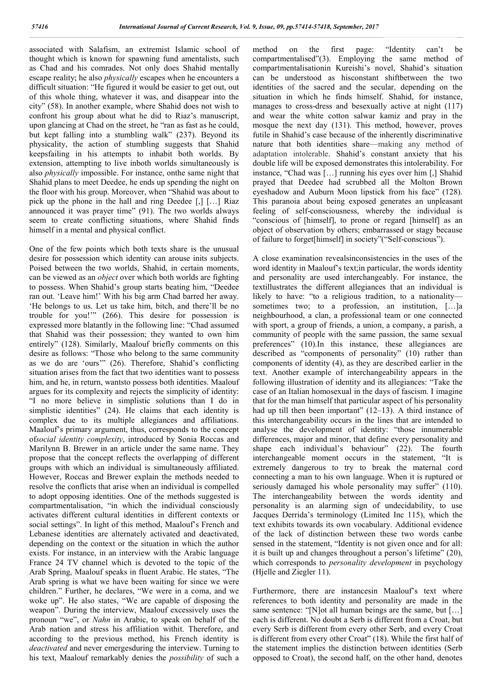associated with Salafism, an extremist Islamic school of thought which is known for spawning fund amentalists, such as Chad and his comrades. Not only does Shahid mentally escape reality; he also *physically* escapes when he encounters a difficult situation: "He figured it would be easier to get out, out of this whole thing, whatever it was, and disappear into the city" (58). In another example, where Shahid does not wish to confront his group about what he did to Riaz's manuscript, upon glancing at Chad on the street, he "ran as fast as he could, but kept falling into a stumbling walk" (237). Beyond its physicality, the action of stumbling suggests that Shahid keepsfailing in his attempts to inhabit both worlds. By extension, attempting to live inboth worlds simultaneously is also *physically* impossible. For instance, onthe same night that Shahid plans to meet Deedee, he ends up spending the night on the floor with his group. Moreover, when "Shahid was about to pick up the phone in the hall and ring Deedee [,] […] Riaz announced it was prayer time" (91). The two worlds always seem to create conflicting situations, where Shahid finds himself in a mental and physical conflict.

One of the few points which both texts share is the unusual desire for possession which identity can arouse inits subjects. Poised between the two worlds, Shahid, in certain moments, can be viewed as an *object* over which both worlds are fighting to possess. When Shahid's group starts beating him, "Deedee ran out. 'Leave him!' With his big arm Chad barred her away. 'He belongs to us. Let us take him, bitch, and there'll be no trouble for you!'" (266). This desire for possession is expressed more blatantly in the following line: "Chad assumed that Shahid was their possession; they wanted to own him entirely" (128). Similarly, Maalouf briefly comments on this desire as follows: "Those who belong to the same community as we do are 'ours'" (26). Therefore, Shahid's conflicting situation arises from the fact that two identities want to possess him, and he, in return, wantsto possess both identities. Maalouf argues for its complexity and rejects the simplicity of identity: "I no more believe in simplistic solutions than I do in simplistic identities" (24). He claims that each identity is complex due to its multiple allegiances and affiliations. Maalouf's primary argument, thus, corresponds to the concept of*social identity complexity*, introduced by Sonia Roccas and Marilynn B. Brewer in an article under the same name. They propose that the concept reflects the overlapping of different groups with which an individual is simultaneously affiliated. However, Roccas and Brewer explain the methods needed to resolve the conflicts that arise when an individual is compelled to adopt opposing identities. One of the methods suggested is compartmentalisation, "in which the individual consciously activates different cultural identities in different contexts or social settings". In light of this method, Maalouf's French and Lebanese identities are alternately activated and deactivated, depending on the context or the situation in which the author exists. For instance, in an interview with the Arabic language France 24 TV channel which is devoted to the topic of the Arab Spring, Maalouf speaks in fluent Arabic. He states, "The Arab spring is what we have been waiting for since we were children." Further, he declares, "We were in a coma, and we woke up". He also states, "We are capable of disposing the weapon". During the interview, Maalouf excessively uses the pronoun "we", or *Nahn* in Arabic, to speak on behalf of the Arab nation and stress his affiliation withit. Therefore, and according to the previous method, his French identity is *deactivated* and never emergesduring the interview. Turning to his text, Maalouf remarkably denies the *possibility* of such a

method on the first page: "Identity can't be compartmentalised"(3). Employing the same method of compartmentalisationin Kureishi's novel, Shahid's situation can be understood as hisconstant shiftbetween the two identities of the sacred and the secular, depending on the situation in which he finds himself. Shahid, for instance, manages to cross-dress and besexually active at night (117) and wear the white cotton salwar kamiz and pray in the mosque the next day (131). This method, however, proves futile in Shahid's case because of the inherently discriminative nature that both identities share—making any method of adaptation intolerable. Shahid's constant anxiety that his double life will be exposed demonstrates this intolerability. For instance, "Chad was […] running his eyes over him [,] Shahid prayed that Deedee had scrubbed all the Molton Brown eyeshadow and Auburn Moon lipstick from his face" (128). This paranoia about being exposed generates an unpleasant feeling of self-consciousness, whereby the individual is "conscious of [himself], to prone or regard [himself] as an object of observation by others; embarrassed or stagy because of failure to forget[himself] in society"("Self-conscious").

A close examination revealsinconsistencies in the uses of the word identity in Maalouf's text;in particular, the words identity and personality are used interchangeably. For instance, the textillustrates the different allegiances that an individual is likely to have: "to a religious tradition, to a nationality sometimes two; to a profession, an institution, [...]a neighbourhood, a clan, a professional team or one connected with sport, a group of friends, a union, a company, a parish, a community of people with the same passion, the same sexual preferences" (10).In this instance, these allegiances are described as "components of personality" (10) rather than components of identity (4), as they are described earlier in the text. Another example of interchangeability appears in the following illustration of identity and its allegiances: "Take the case of an Italian homosexual in the days of fascism. I imagine that for the man himself that particular aspect of his personality had up till then been important" (12–13). A third instance of this interchangeability occurs in the lines that are intended to analyse the development of identity: "those innumerable differences, major and minor, that define every personality and shape each individual's behaviour" (22). The fourth interchangeable moment occurs in the statement, "It is extremely dangerous to try to break the maternal cord connecting a man to his own language. When it is ruptured or seriously damaged his whole personality may suffer" (110). The interchangeability between the words identity and personality is an alarming sign of undecidability, to use Jacques Derrida's terminology (Limited Inc 115), which the text exhibits towards its own vocabulary. Additional evidence of the lack of distinction between these two words canbe sensed in the statement, "Identity is not given once and for all: it is built up and changes throughout a person's lifetime" (20), which corresponds to *personality development* in psychology (Hjelle and Ziegler 11).

Furthermore, there are instancesin Maalouf's text where references to both identity and personality are made in the same sentence: "[N]ot all human beings are the same, but [...] each is different. No doubt a Serb is different from a Croat, but every Serb is different from every other Serb, and every Croat is different from every other Croat" (18). While the first half of the statement implies the distinction between identities (Serb opposed to Croat), the second half, on the other hand, denotes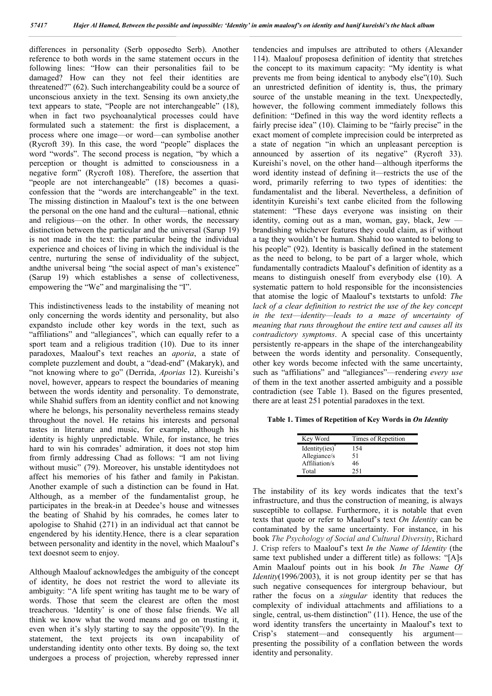differences in personality (Serb opposedto Serb). Another reference to both words in the same statement occurs in the following lines: "How can their personalities fail to be damaged? How can they not feel their identities are threatened?" (62). Such interchangeability could be a source of unconscious anxiety in the text. Sensing its own anxiety,the text appears to state, "People are not interchangeable" (18), when in fact two psychoanalytical processes could have formulated such a statement: the first is displacement, a process where one image—or word—can symbolise another (Rycroft 39). In this case, the word "people" displaces the word "words". The second process is negation, "by which a perception or thought is admitted to consciousness in a negative form" (Rycroft 108). Therefore, the assertion that "people are not interchangeable" (18) becomes a quasiconfession that the "words are interchangeable" in the text. The missing distinction in Maalouf's text is the one between the personal on the one hand and the cultural—national, ethnic and religious—on the other. In other words, the necessary distinction between the particular and the universal (Sarup 19) is not made in the text: the particular being the individual experience and choices of living in which the individual is the centre, nurturing the sense of individuality of the subject, andthe universal being "the social aspect of man's existence" (Sarup 19) which establishes a sense of collectiveness, empowering the "We" and marginalising the "I".

This indistinctiveness leads to the instability of meaning not only concerning the words identity and personality, but also expandsto include other key words in the text, such as "affiliations" and "allegiances", which can equally refer to a sport team and a religious tradition (10). Due to its inner paradoxes, Maalouf's text reaches an *aporia*, a state of complete puzzlement and doubt, a "dead-end" (Makaryk), and "not knowing where to go" (Derrida, *Aporias* 12). Kureishi's novel, however, appears to respect the boundaries of meaning between the words identity and personality. To demonstrate, while Shahid suffers from an identity conflict and not knowing where he belongs, his personality nevertheless remains steady throughout the novel. He retains his interests and personal tastes in literature and music, for example, although his identity is highly unpredictable. While, for instance, he tries hard to win his comrades' admiration, it does not stop him from firmly addressing Chad as follows: "I am not living without music" (79). Moreover, his unstable identitydoes not affect his memories of his father and family in Pakistan. Another example of such a distinction can be found in Hat. Although, as a member of the fundamentalist group, he participates in the break-in at Deedee's house and witnesses the beating of Shahid by his comrades, he comes later to apologise to Shahid (271) in an individual act that cannot be engendered by his identity.Hence, there is a clear separation between personality and identity in the novel, which Maalouf's text doesnot seem to enjoy.

Although Maalouf acknowledges the ambiguity of the concept of identity, he does not restrict the word to alleviate its ambiguity: "A life spent writing has taught me to be wary of words. Those that seem the clearest are often the most treacherous. 'Identity' is one of those false friends. We all think we know what the word means and go on trusting it, even when it's slyly starting to say the opposite"(9). In the statement, the text projects its own incapability of understanding identity onto other texts. By doing so, the text undergoes a process of projection, whereby repressed inner tendencies and impulses are attributed to others (Alexander 114). Maalouf proposesa definition of identity that stretches the concept to its maximum capacity: "My identity is what prevents me from being identical to anybody else"(10). Such an unrestricted definition of identity is, thus, the primary source of the unstable meaning in the text. Unexpectedly, however, the following comment immediately follows this definition: "Defined in this way the word identity reflects a fairly precise idea" (10). Claiming to be "fairly precise" in the exact moment of complete imprecision could be interpreted as a state of negation "in which an unpleasant perception is announced by assertion of its negative" (Rycroft 33). Kureishi's novel, on the other hand—although itperforms the word identity instead of defining it—restricts the use of the word, primarily referring to two types of identities: the fundamentalist and the liberal. Nevertheless, a definition of identityin Kureishi's text canbe elicited from the following statement: "These days everyone was insisting on their identity, coming out as a man, woman, gay, black,  $Jew$  brandishing whichever features they could claim, as if without a tag they wouldn't be human. Shahid too wanted to belong to his people" (92). Identity is basically defined in the statement as the need to belong, to be part of a larger whole, which fundamentally contradicts Maalouf's definition of identity as a means to distinguish oneself from everybody else (10). A systematic pattern to hold responsible for the inconsistencies that atomise the logic of Maalouf's textstarts to unfold: *The lack of a clear definition to restrict the use of the key concept in the text*—*identity*—*leads to a maze of uncertainty of meaning that runs throughout the entire text and causes all its contradictory symptoms*. A special case of this uncertainty persistently re-appears in the shape of the interchangeability between the words identity and personality. Consequently, other key words become infected with the same uncertainty, such as "affiliations" and "allegiances"—rendering *every use* of them in the text another asserted ambiguity and a possible contradiction (see Table 1). Based on the figures presented, there are at least 251 potential paradoxes in the text.

**Table 1. Times of Repetition of Key Words in** *On Identity*

| Key Word           | Times of Repetition |
|--------------------|---------------------|
| Identity $(ies)^*$ | 154                 |
| Allegiance/s       | 51                  |
| Affiliation/s      | 46                  |
| Total              | 251                 |

The instability of its key words indicates that the text's infrastructure, and thus the construction of meaning, is always susceptible to collapse. Furthermore, it is notable that even texts that quote or refer to Maalouf's text *On Identity* can be contaminated by the same uncertainty. For instance, in his book *The Psychology of Social and Cultural Diversity*, Richard J. Crisp refers to Maalouf's text *In the Name of Identity* (the same text published under a different title) as follows: "[A]s Amin Maalouf points out in his book *In The Name Of Identity*(1996/2003), it is not group identity per se that has such negative consequences for intergroup behaviour, but rather the focus on a *singular* identity that reduces the complexity of individual attachments and affiliations to a single, central, us-them distinction" (11). Hence, the use of the word identity transfers the uncertainty in Maalouf's text to Crisp's statement—and consequently his argument presenting the possibility of a conflation between the words identity and personality.